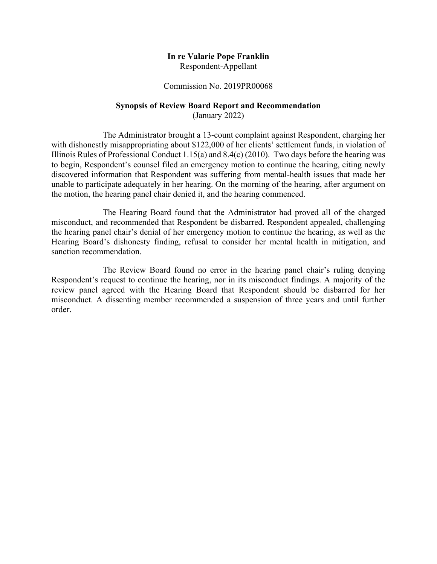### **In re Valarie Pope Franklin**  Respondent-Appellant

#### Commission No. 2019PR00068

## **Synopsis of Review Board Report and Recommendation**

(January 2022)

The Administrator brought a 13-count complaint against Respondent, charging her with dishonestly misappropriating about \$122,000 of her clients' settlement funds, in violation of Illinois Rules of Professional Conduct 1.15(a) and 8.4(c) (2010). Two days before the hearing was to begin, Respondent's counsel filed an emergency motion to continue the hearing, citing newly discovered information that Respondent was suffering from mental-health issues that made her unable to participate adequately in her hearing. On the morning of the hearing, after argument on the motion, the hearing panel chair denied it, and the hearing commenced.

The Hearing Board found that the Administrator had proved all of the charged misconduct, and recommended that Respondent be disbarred. Respondent appealed, challenging the hearing panel chair's denial of her emergency motion to continue the hearing, as well as the Hearing Board's dishonesty finding, refusal to consider her mental health in mitigation, and sanction recommendation.

The Review Board found no error in the hearing panel chair's ruling denying Respondent's request to continue the hearing, nor in its misconduct findings. A majority of the review panel agreed with the Hearing Board that Respondent should be disbarred for her misconduct. A dissenting member recommended a suspension of three years and until further order.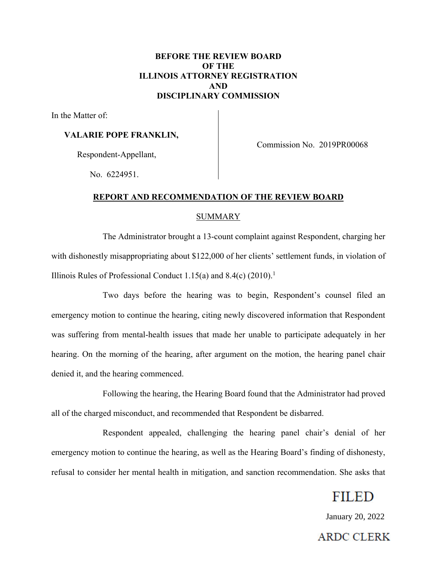## **BEFORE THE REVIEW BOARD OF THE ILLINOIS ATTORNEY REGISTRATION AND DISCIPLINARY COMMISSION**

In the Matter of:

## **VALARIE POPE FRANKLIN,**

Respondent-Appellant,

Commission No. 2019PR00068

No. 6224951.

## **REPORT AND RECOMMENDATION OF THE REVIEW BOARD**

### SUMMARY

The Administrator brought a 13-count complaint against Respondent, charging her with dishonestly misappropriating about \$122,000 of her clients' settlement funds, in violation of Illinois Rules of Professional Conduct 1.15(a) and  $8.4(c)$  (2010).<sup>1</sup>

Two days before the hearing was to begin, Respondent's counsel filed an emergency motion to continue the hearing, citing newly discovered information that Respondent was suffering from mental-health issues that made her unable to participate adequately in her hearing. On the morning of the hearing, after argument on the motion, the hearing panel chair denied it, and the hearing commenced.

Following the hearing, the Hearing Board found that the Administrator had proved all of the charged misconduct, and recommended that Respondent be disbarred.

Respondent appealed, challenging the hearing panel chair's denial of her emergency motion to continue the hearing, as well as the Hearing Board's finding of dishonesty, refusal to consider her mental health in mitigation, and sanction recommendation. She asks that

## **FILED**

January 20, 2022

**ARDC CLERK**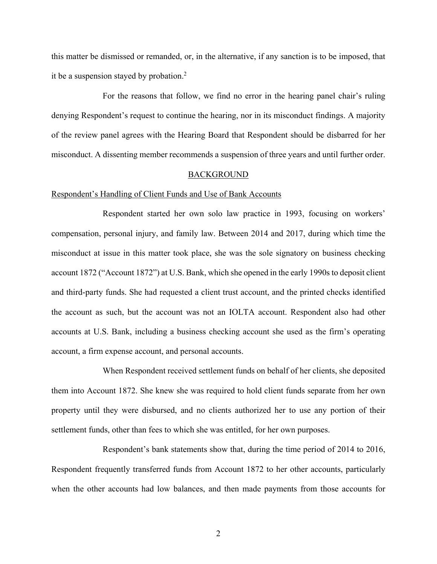this matter be dismissed or remanded, or, in the alternative, if any sanction is to be imposed, that it be a suspension stayed by probation.2

For the reasons that follow, we find no error in the hearing panel chair's ruling denying Respondent's request to continue the hearing, nor in its misconduct findings. A majority of the review panel agrees with the Hearing Board that Respondent should be disbarred for her misconduct. A dissenting member recommends a suspension of three years and until further order.

#### BACKGROUND

#### Respondent's Handling of Client Funds and Use of Bank Accounts

Respondent started her own solo law practice in 1993, focusing on workers' compensation, personal injury, and family law. Between 2014 and 2017, during which time the misconduct at issue in this matter took place, she was the sole signatory on business checking account 1872 ("Account 1872") at U.S. Bank, which she opened in the early 1990s to deposit client and third-party funds. She had requested a client trust account, and the printed checks identified the account as such, but the account was not an IOLTA account. Respondent also had other accounts at U.S. Bank, including a business checking account she used as the firm's operating account, a firm expense account, and personal accounts.

When Respondent received settlement funds on behalf of her clients, she deposited them into Account 1872. She knew she was required to hold client funds separate from her own property until they were disbursed, and no clients authorized her to use any portion of their settlement funds, other than fees to which she was entitled, for her own purposes.

Respondent's bank statements show that, during the time period of 2014 to 2016, Respondent frequently transferred funds from Account 1872 to her other accounts, particularly when the other accounts had low balances, and then made payments from those accounts for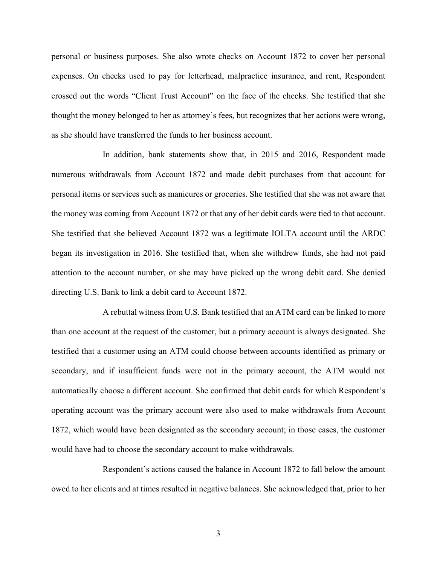personal or business purposes. She also wrote checks on Account 1872 to cover her personal expenses. On checks used to pay for letterhead, malpractice insurance, and rent, Respondent crossed out the words "Client Trust Account" on the face of the checks. She testified that she thought the money belonged to her as attorney's fees, but recognizes that her actions were wrong, as she should have transferred the funds to her business account.

In addition, bank statements show that, in 2015 and 2016, Respondent made numerous withdrawals from Account 1872 and made debit purchases from that account for personal items or services such as manicures or groceries. She testified that she was not aware that the money was coming from Account 1872 or that any of her debit cards were tied to that account. She testified that she believed Account 1872 was a legitimate IOLTA account until the ARDC began its investigation in 2016. She testified that, when she withdrew funds, she had not paid attention to the account number, or she may have picked up the wrong debit card. She denied directing U.S. Bank to link a debit card to Account 1872.

A rebuttal witness from U.S. Bank testified that an ATM card can be linked to more than one account at the request of the customer, but a primary account is always designated. She testified that a customer using an ATM could choose between accounts identified as primary or secondary, and if insufficient funds were not in the primary account, the ATM would not automatically choose a different account. She confirmed that debit cards for which Respondent's operating account was the primary account were also used to make withdrawals from Account 1872, which would have been designated as the secondary account; in those cases, the customer would have had to choose the secondary account to make withdrawals.

Respondent's actions caused the balance in Account 1872 to fall below the amount owed to her clients and at times resulted in negative balances. She acknowledged that, prior to her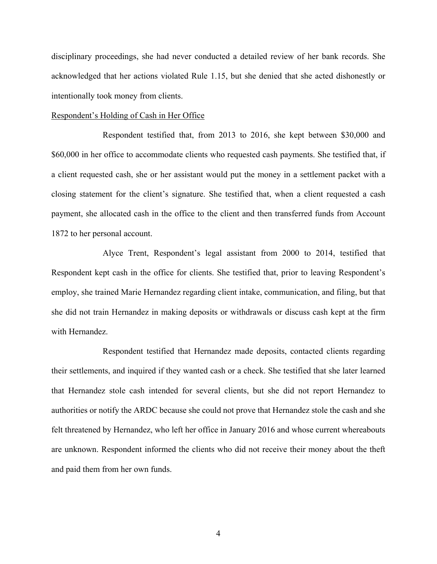disciplinary proceedings, she had never conducted a detailed review of her bank records. She acknowledged that her actions violated Rule 1.15, but she denied that she acted dishonestly or intentionally took money from clients.

#### Respondent's Holding of Cash in Her Office

Respondent testified that, from 2013 to 2016, she kept between \$30,000 and \$60,000 in her office to accommodate clients who requested cash payments. She testified that, if a client requested cash, she or her assistant would put the money in a settlement packet with a closing statement for the client's signature. She testified that, when a client requested a cash payment, she allocated cash in the office to the client and then transferred funds from Account 1872 to her personal account.

Alyce Trent, Respondent's legal assistant from 2000 to 2014, testified that Respondent kept cash in the office for clients. She testified that, prior to leaving Respondent's employ, she trained Marie Hernandez regarding client intake, communication, and filing, but that she did not train Hernandez in making deposits or withdrawals or discuss cash kept at the firm with Hernandez.

Respondent testified that Hernandez made deposits, contacted clients regarding their settlements, and inquired if they wanted cash or a check. She testified that she later learned that Hernandez stole cash intended for several clients, but she did not report Hernandez to authorities or notify the ARDC because she could not prove that Hernandez stole the cash and she felt threatened by Hernandez, who left her office in January 2016 and whose current whereabouts are unknown. Respondent informed the clients who did not receive their money about the theft and paid them from her own funds.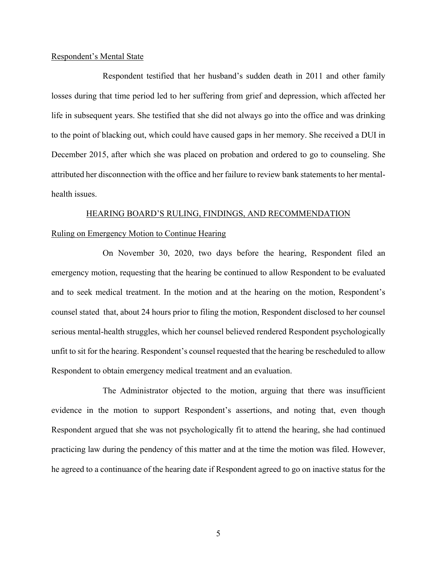#### Respondent's Mental State

Respondent testified that her husband's sudden death in 2011 and other family losses during that time period led to her suffering from grief and depression, which affected her life in subsequent years. She testified that she did not always go into the office and was drinking to the point of blacking out, which could have caused gaps in her memory. She received a DUI in December 2015, after which she was placed on probation and ordered to go to counseling. She attributed her disconnection with the office and her failure to review bank statements to her mentalhealth issues.

## HEARING BOARD'S RULING, FINDINGS, AND RECOMMENDATION Ruling on Emergency Motion to Continue Hearing

On November 30, 2020, two days before the hearing, Respondent filed an emergency motion, requesting that the hearing be continued to allow Respondent to be evaluated and to seek medical treatment. In the motion and at the hearing on the motion, Respondent's counsel stated that, about 24 hours prior to filing the motion, Respondent disclosed to her counsel serious mental-health struggles, which her counsel believed rendered Respondent psychologically unfit to sit for the hearing. Respondent's counsel requested that the hearing be rescheduled to allow Respondent to obtain emergency medical treatment and an evaluation.

The Administrator objected to the motion, arguing that there was insufficient evidence in the motion to support Respondent's assertions, and noting that, even though Respondent argued that she was not psychologically fit to attend the hearing, she had continued practicing law during the pendency of this matter and at the time the motion was filed. However, he agreed to a continuance of the hearing date if Respondent agreed to go on inactive status for the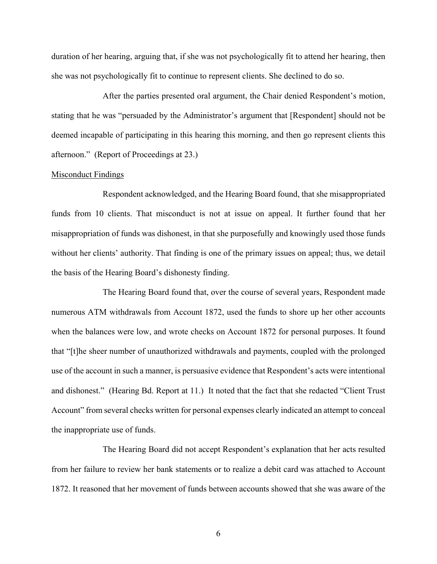duration of her hearing, arguing that, if she was not psychologically fit to attend her hearing, then she was not psychologically fit to continue to represent clients. She declined to do so.

After the parties presented oral argument, the Chair denied Respondent's motion, stating that he was "persuaded by the Administrator's argument that [Respondent] should not be deemed incapable of participating in this hearing this morning, and then go represent clients this afternoon." (Report of Proceedings at 23.)

#### Misconduct Findings

Respondent acknowledged, and the Hearing Board found, that she misappropriated funds from 10 clients. That misconduct is not at issue on appeal. It further found that her misappropriation of funds was dishonest, in that she purposefully and knowingly used those funds without her clients' authority. That finding is one of the primary issues on appeal; thus, we detail the basis of the Hearing Board's dishonesty finding.

The Hearing Board found that, over the course of several years, Respondent made numerous ATM withdrawals from Account 1872, used the funds to shore up her other accounts when the balances were low, and wrote checks on Account 1872 for personal purposes. It found that "[t]he sheer number of unauthorized withdrawals and payments, coupled with the prolonged use of the account in such a manner, is persuasive evidence that Respondent's acts were intentional and dishonest." (Hearing Bd. Report at 11.) It noted that the fact that she redacted "Client Trust Account" from several checks written for personal expenses clearly indicated an attempt to conceal the inappropriate use of funds.

The Hearing Board did not accept Respondent's explanation that her acts resulted from her failure to review her bank statements or to realize a debit card was attached to Account 1872. It reasoned that her movement of funds between accounts showed that she was aware of the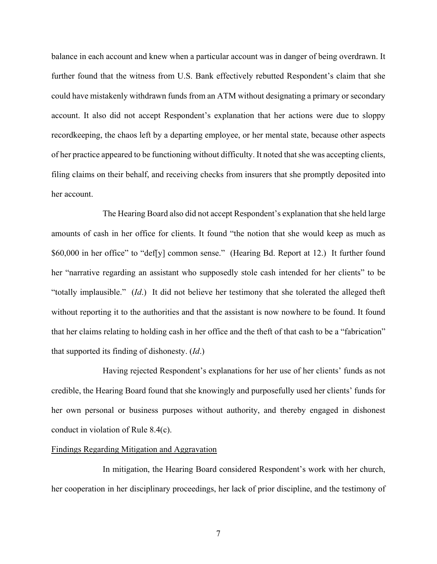balance in each account and knew when a particular account was in danger of being overdrawn. It further found that the witness from U.S. Bank effectively rebutted Respondent's claim that she could have mistakenly withdrawn funds from an ATM without designating a primary or secondary account. It also did not accept Respondent's explanation that her actions were due to sloppy recordkeeping, the chaos left by a departing employee, or her mental state, because other aspects of her practice appeared to be functioning without difficulty. It noted that she was accepting clients, filing claims on their behalf, and receiving checks from insurers that she promptly deposited into her account.

The Hearing Board also did not accept Respondent's explanation that she held large amounts of cash in her office for clients. It found "the notion that she would keep as much as \$60,000 in her office" to "def[y] common sense." (Hearing Bd. Report at 12.) It further found her "narrative regarding an assistant who supposedly stole cash intended for her clients" to be "totally implausible." (*Id*.) It did not believe her testimony that she tolerated the alleged theft without reporting it to the authorities and that the assistant is now nowhere to be found. It found that her claims relating to holding cash in her office and the theft of that cash to be a "fabrication" that supported its finding of dishonesty. (*Id*.)

Having rejected Respondent's explanations for her use of her clients' funds as not credible, the Hearing Board found that she knowingly and purposefully used her clients' funds for her own personal or business purposes without authority, and thereby engaged in dishonest conduct in violation of Rule 8.4(c).

#### Findings Regarding Mitigation and Aggravation

In mitigation, the Hearing Board considered Respondent's work with her church, her cooperation in her disciplinary proceedings, her lack of prior discipline, and the testimony of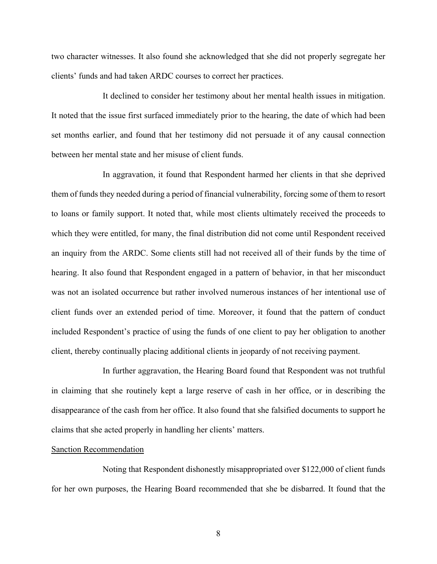two character witnesses. It also found she acknowledged that she did not properly segregate her clients' funds and had taken ARDC courses to correct her practices.

It declined to consider her testimony about her mental health issues in mitigation. It noted that the issue first surfaced immediately prior to the hearing, the date of which had been set months earlier, and found that her testimony did not persuade it of any causal connection between her mental state and her misuse of client funds.

In aggravation, it found that Respondent harmed her clients in that she deprived them of funds they needed during a period of financial vulnerability, forcing some of them to resort to loans or family support. It noted that, while most clients ultimately received the proceeds to which they were entitled, for many, the final distribution did not come until Respondent received an inquiry from the ARDC. Some clients still had not received all of their funds by the time of hearing. It also found that Respondent engaged in a pattern of behavior, in that her misconduct was not an isolated occurrence but rather involved numerous instances of her intentional use of client funds over an extended period of time. Moreover, it found that the pattern of conduct included Respondent's practice of using the funds of one client to pay her obligation to another client, thereby continually placing additional clients in jeopardy of not receiving payment.

In further aggravation, the Hearing Board found that Respondent was not truthful in claiming that she routinely kept a large reserve of cash in her office, or in describing the disappearance of the cash from her office. It also found that she falsified documents to support he claims that she acted properly in handling her clients' matters.

#### Sanction Recommendation

Noting that Respondent dishonestly misappropriated over \$122,000 of client funds for her own purposes, the Hearing Board recommended that she be disbarred. It found that the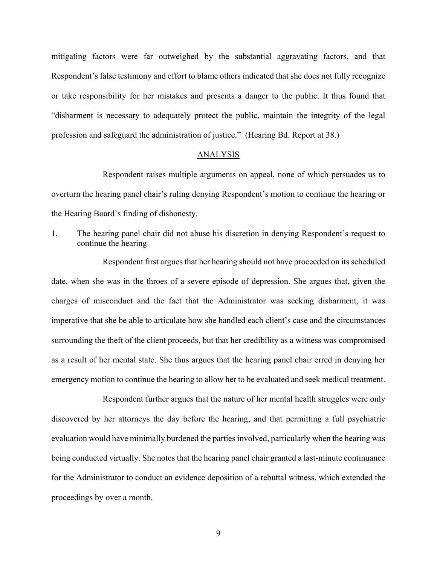mitigating factors were far outweighed by the substantial aggravating factors, and that Respondent's false testimony and effort to blame others indicated that she does not fully recognize or take responsibility for her mistakes and presents a danger to the public. It thus found that "disbarment is necessary to adequately protect the public, maintain the integrity of the legal profession and safeguard the administration of justice." (Hearing Bd. Report at 38.)

### **ANALYSIS**

Respondent raises multiple arguments on appeal, none of which persuades us to overturn the hearing panel chair's ruling denying Respondent's motion to continue the hearing or the Hearing Board's finding of dishonesty.

1. The hearing panel chair did not abuse his discretion in denying Respondent's request to continue the hearing

Respondent first argues that her hearing should not have proceeded on its scheduled date, when she was in the throes of a severe episode of depression. She argues that, given the charges of misconduct and the fact that the Administrator was seeking disbarment, it was imperative that she be able to articulate how she handled each client's case and the circumstances surrounding the theft of the client proceeds, but that her credibility as a witness was compromised as a result of her mental state. She thus argues that the hearing panel chair erred in denying her emergency motion to continue the hearing to allow her to be evaluated and seek medical treatment.

Respondent further argues that the nature of her mental health struggles were only discovered by her attorneys the day before the hearing, and that permitting a full psychiatric evaluation would have minimally burdened the parties involved, particularly when the hearing was being conducted virtually. She notes that the hearing panel chair granted a last-minute continuance for the Administrator to conduct an evidence deposition of a rebuttal witness, which extended the proceedings by over a month.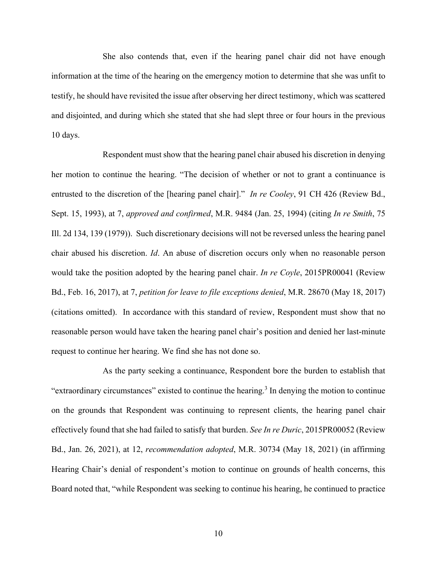She also contends that, even if the hearing panel chair did not have enough information at the time of the hearing on the emergency motion to determine that she was unfit to testify, he should have revisited the issue after observing her direct testimony, which was scattered and disjointed, and during which she stated that she had slept three or four hours in the previous 10 days.

Respondent must show that the hearing panel chair abused his discretion in denying her motion to continue the hearing. "The decision of whether or not to grant a continuance is entrusted to the discretion of the [hearing panel chair]." *In re Cooley*, 91 CH 426 (Review Bd., Sept. 15, 1993), at 7, *approved and confirmed*, M.R. 9484 (Jan. 25, 1994) (citing *In re Smith*, 75 Ill. 2d 134, 139 (1979)). Such discretionary decisions will not be reversed unless the hearing panel chair abused his discretion. *Id*. An abuse of discretion occurs only when no reasonable person would take the position adopted by the hearing panel chair. *In re Coyle*, 2015PR00041 (Review Bd., Feb. 16, 2017), at 7, *petition for leave to file exceptions denied*, M.R. 28670 (May 18, 2017) (citations omitted). In accordance with this standard of review, Respondent must show that no reasonable person would have taken the hearing panel chair's position and denied her last-minute request to continue her hearing. We find she has not done so.

As the party seeking a continuance, Respondent bore the burden to establish that "extraordinary circumstances" existed to continue the hearing.<sup>3</sup> In denying the motion to continue on the grounds that Respondent was continuing to represent clients, the hearing panel chair effectively found that she had failed to satisfy that burden. *See In re Duric*, 2015PR00052 (Review Bd., Jan. 26, 2021), at 12, *recommendation adopted*, M.R. 30734 (May 18, 2021) (in affirming Hearing Chair's denial of respondent's motion to continue on grounds of health concerns, this Board noted that, "while Respondent was seeking to continue his hearing, he continued to practice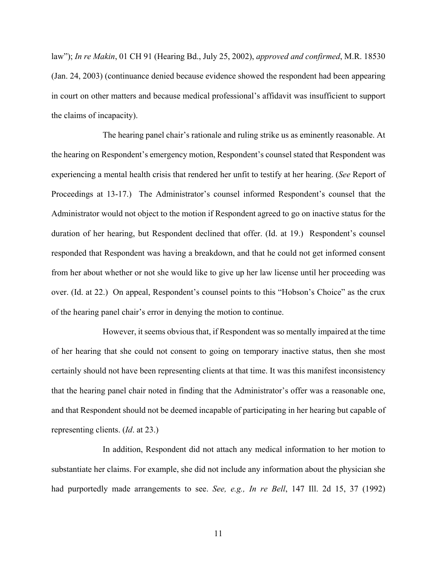law"); *In re Makin*, 01 CH 91 (Hearing Bd., July 25, 2002), *approved and confirmed*, M.R. 18530 (Jan. 24, 2003) (continuance denied because evidence showed the respondent had been appearing in court on other matters and because medical professional's affidavit was insufficient to support the claims of incapacity).

The hearing panel chair's rationale and ruling strike us as eminently reasonable. At the hearing on Respondent's emergency motion, Respondent's counsel stated that Respondent was experiencing a mental health crisis that rendered her unfit to testify at her hearing. (*See* Report of Proceedings at 13-17.) The Administrator's counsel informed Respondent's counsel that the Administrator would not object to the motion if Respondent agreed to go on inactive status for the duration of her hearing, but Respondent declined that offer. (Id. at 19.) Respondent's counsel responded that Respondent was having a breakdown, and that he could not get informed consent from her about whether or not she would like to give up her law license until her proceeding was over. (Id. at 22.) On appeal, Respondent's counsel points to this "Hobson's Choice" as the crux of the hearing panel chair's error in denying the motion to continue.

However, it seems obvious that, if Respondent was so mentally impaired at the time of her hearing that she could not consent to going on temporary inactive status, then she most certainly should not have been representing clients at that time. It was this manifest inconsistency that the hearing panel chair noted in finding that the Administrator's offer was a reasonable one, and that Respondent should not be deemed incapable of participating in her hearing but capable of representing clients. (*Id*. at 23.)

In addition, Respondent did not attach any medical information to her motion to substantiate her claims. For example, she did not include any information about the physician she had purportedly made arrangements to see. *See, e.g., In re Bell*, 147 Ill. 2d 15, 37 (1992)

11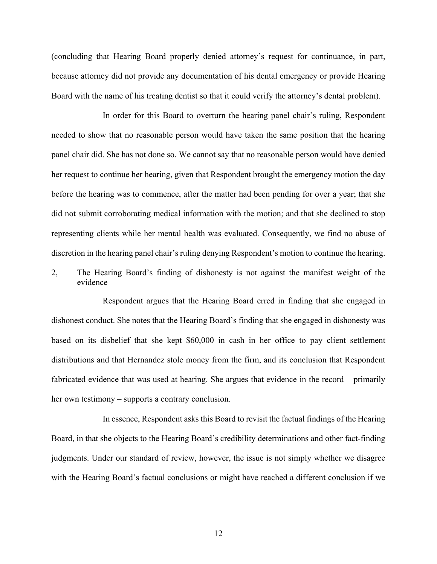(concluding that Hearing Board properly denied attorney's request for continuance, in part, because attorney did not provide any documentation of his dental emergency or provide Hearing Board with the name of his treating dentist so that it could verify the attorney's dental problem).

In order for this Board to overturn the hearing panel chair's ruling, Respondent needed to show that no reasonable person would have taken the same position that the hearing panel chair did. She has not done so. We cannot say that no reasonable person would have denied her request to continue her hearing, given that Respondent brought the emergency motion the day before the hearing was to commence, after the matter had been pending for over a year; that she did not submit corroborating medical information with the motion; and that she declined to stop representing clients while her mental health was evaluated. Consequently, we find no abuse of discretion in the hearing panel chair's ruling denying Respondent's motion to continue the hearing.

2, The Hearing Board's finding of dishonesty is not against the manifest weight of the evidence

Respondent argues that the Hearing Board erred in finding that she engaged in dishonest conduct. She notes that the Hearing Board's finding that she engaged in dishonesty was based on its disbelief that she kept \$60,000 in cash in her office to pay client settlement distributions and that Hernandez stole money from the firm, and its conclusion that Respondent fabricated evidence that was used at hearing. She argues that evidence in the record – primarily her own testimony – supports a contrary conclusion.

In essence, Respondent asks this Board to revisit the factual findings of the Hearing Board, in that she objects to the Hearing Board's credibility determinations and other fact-finding judgments. Under our standard of review, however, the issue is not simply whether we disagree with the Hearing Board's factual conclusions or might have reached a different conclusion if we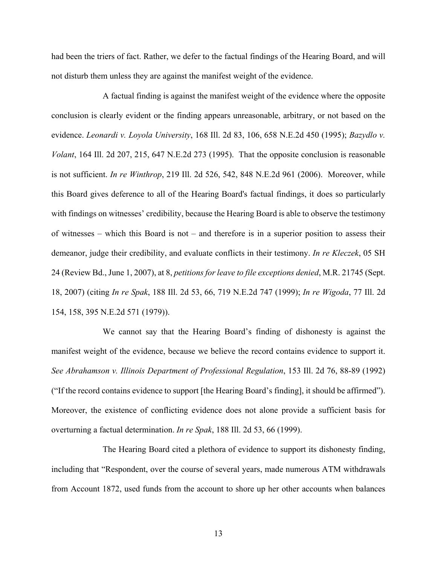had been the triers of fact. Rather, we defer to the factual findings of the Hearing Board, and will not disturb them unless they are against the manifest weight of the evidence.

A factual finding is against the manifest weight of the evidence where the opposite conclusion is clearly evident or the finding appears unreasonable, arbitrary, or not based on the evidence. *Leonardi v. Loyola University*, 168 Ill. 2d 83, 106, 658 N.E.2d 450 (1995); *Bazydlo v. Volant*, 164 Ill. 2d 207, 215, 647 N.E.2d 273 (1995). That the opposite conclusion is reasonable is not sufficient. *In re Winthrop*, 219 Ill. 2d 526, 542, 848 N.E.2d 961 (2006). Moreover, while this Board gives deference to all of the Hearing Board's factual findings, it does so particularly with findings on witnesses' credibility, because the Hearing Board is able to observe the testimony of witnesses – which this Board is not – and therefore is in a superior position to assess their demeanor, judge their credibility, and evaluate conflicts in their testimony. *In re Kleczek*, 05 SH 24 (Review Bd., June 1, 2007), at 8, *petitions for leave to file exceptions denied*, M.R. 21745 (Sept. 18, 2007) (citing *In re Spak*, 188 Ill. 2d 53, 66, 719 N.E.2d 747 (1999); *In re Wigoda*, 77 Ill. 2d 154, 158, 395 N.E.2d 571 (1979)).

We cannot say that the Hearing Board's finding of dishonesty is against the manifest weight of the evidence, because we believe the record contains evidence to support it. *See Abrahamson v. Illinois Department of Professional Regulation*, 153 Ill. 2d 76, 88-89 (1992) ("If the record contains evidence to support [the Hearing Board's finding], it should be affirmed"). Moreover, the existence of conflicting evidence does not alone provide a sufficient basis for overturning a factual determination. *In re Spak*, 188 Ill. 2d 53, 66 (1999).

The Hearing Board cited a plethora of evidence to support its dishonesty finding, including that "Respondent, over the course of several years, made numerous ATM withdrawals from Account 1872, used funds from the account to shore up her other accounts when balances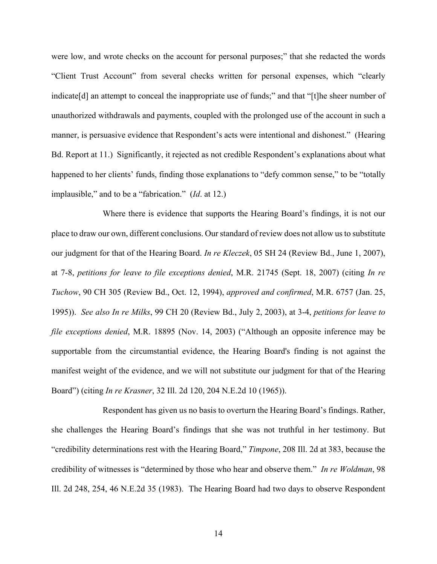were low, and wrote checks on the account for personal purposes;" that she redacted the words "Client Trust Account" from several checks written for personal expenses, which "clearly indicate[d] an attempt to conceal the inappropriate use of funds;" and that "[t]he sheer number of unauthorized withdrawals and payments, coupled with the prolonged use of the account in such a manner, is persuasive evidence that Respondent's acts were intentional and dishonest." (Hearing Bd. Report at 11.) Significantly, it rejected as not credible Respondent's explanations about what happened to her clients' funds, finding those explanations to "defy common sense," to be "totally implausible," and to be a "fabrication." (*Id*. at 12.)

Where there is evidence that supports the Hearing Board's findings, it is not our place to draw our own, different conclusions. Our standard of review does not allow us to substitute our judgment for that of the Hearing Board. *In re Kleczek*, 05 SH 24 (Review Bd., June 1, 2007), at 7-8, *petitions for leave to file exceptions denied*, M.R. 21745 (Sept. 18, 2007) (citing *In re Tuchow*, 90 CH 305 (Review Bd., Oct. 12, 1994), *approved and confirmed*, M.R. 6757 (Jan. 25, 1995)). *See also In re Milks*, 99 CH 20 (Review Bd., July 2, 2003), at 3-4, *petitions for leave to file exceptions denied*, M.R. 18895 (Nov. 14, 2003) ("Although an opposite inference may be supportable from the circumstantial evidence, the Hearing Board's finding is not against the manifest weight of the evidence, and we will not substitute our judgment for that of the Hearing Board") (citing *In re Krasner*, 32 Ill. 2d 120, 204 N.E.2d 10 (1965)).

Respondent has given us no basis to overturn the Hearing Board's findings. Rather, she challenges the Hearing Board's findings that she was not truthful in her testimony. But "credibility determinations rest with the Hearing Board," *Timpone*, 208 Ill. 2d at 383, because the credibility of witnesses is "determined by those who hear and observe them." *In re Woldman*, 98 Ill. 2d 248, 254, 46 N.E.2d 35 (1983). The Hearing Board had two days to observe Respondent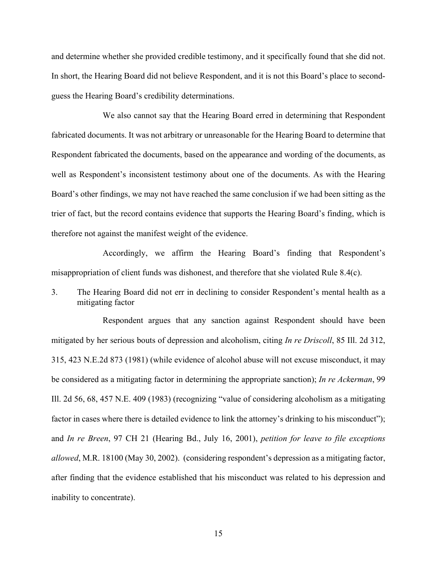and determine whether she provided credible testimony, and it specifically found that she did not. In short, the Hearing Board did not believe Respondent, and it is not this Board's place to secondguess the Hearing Board's credibility determinations.

We also cannot say that the Hearing Board erred in determining that Respondent fabricated documents. It was not arbitrary or unreasonable for the Hearing Board to determine that Respondent fabricated the documents, based on the appearance and wording of the documents, as well as Respondent's inconsistent testimony about one of the documents. As with the Hearing Board's other findings, we may not have reached the same conclusion if we had been sitting as the trier of fact, but the record contains evidence that supports the Hearing Board's finding, which is therefore not against the manifest weight of the evidence.

Accordingly, we affirm the Hearing Board's finding that Respondent's misappropriation of client funds was dishonest, and therefore that she violated Rule 8.4(c).

3. The Hearing Board did not err in declining to consider Respondent's mental health as a mitigating factor

Respondent argues that any sanction against Respondent should have been mitigated by her serious bouts of depression and alcoholism, citing *In re Driscoll*, 85 Ill. 2d 312, 315, 423 N.E.2d 873 (1981) (while evidence of alcohol abuse will not excuse misconduct, it may be considered as a mitigating factor in determining the appropriate sanction); *In re Ack*e*rman*, 99 Ill. 2d 56, 68, 457 N.E. 409 (1983) (recognizing "value of considering alcoholism as a mitigating factor in cases where there is detailed evidence to link the attorney's drinking to his misconduct"); and *In re Breen*, 97 CH 21 (Hearing Bd., July 16, 2001), *petition for leave to file exceptions allowed*, M.R. 18100 (May 30, 2002). (considering respondent's depression as a mitigating factor, after finding that the evidence established that his misconduct was related to his depression and inability to concentrate).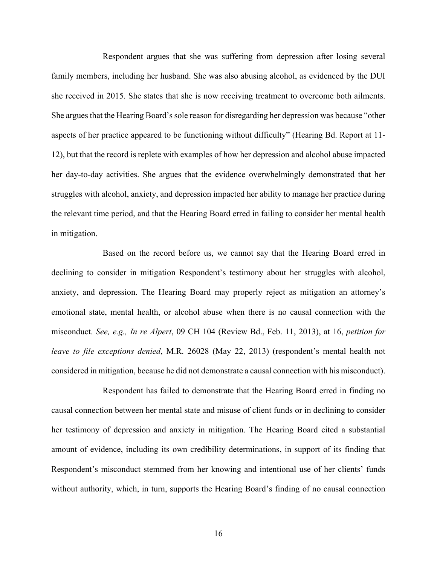Respondent argues that she was suffering from depression after losing several family members, including her husband. She was also abusing alcohol, as evidenced by the DUI she received in 2015. She states that she is now receiving treatment to overcome both ailments. She argues that the Hearing Board's sole reason for disregarding her depression was because "other aspects of her practice appeared to be functioning without difficulty" (Hearing Bd. Report at 11- 12), but that the record is replete with examples of how her depression and alcohol abuse impacted her day-to-day activities. She argues that the evidence overwhelmingly demonstrated that her struggles with alcohol, anxiety, and depression impacted her ability to manage her practice during the relevant time period, and that the Hearing Board erred in failing to consider her mental health in mitigation.

Based on the record before us, we cannot say that the Hearing Board erred in declining to consider in mitigation Respondent's testimony about her struggles with alcohol, anxiety, and depression. The Hearing Board may properly reject as mitigation an attorney's emotional state, mental health, or alcohol abuse when there is no causal connection with the misconduct. *See, e.g., In re Alpert*, 09 CH 104 (Review Bd., Feb. 11, 2013), at 16, *petition for leave to file exceptions denied*, M.R. 26028 (May 22, 2013) (respondent's mental health not considered in mitigation, because he did not demonstrate a causal connection with his misconduct).

Respondent has failed to demonstrate that the Hearing Board erred in finding no causal connection between her mental state and misuse of client funds or in declining to consider her testimony of depression and anxiety in mitigation. The Hearing Board cited a substantial amount of evidence, including its own credibility determinations, in support of its finding that Respondent's misconduct stemmed from her knowing and intentional use of her clients' funds without authority, which, in turn, supports the Hearing Board's finding of no causal connection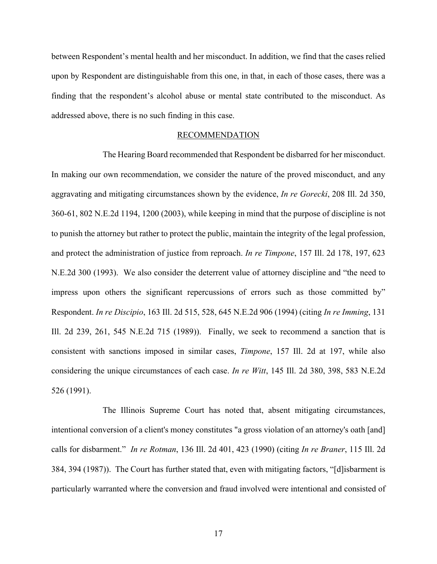between Respondent's mental health and her misconduct. In addition, we find that the cases relied upon by Respondent are distinguishable from this one, in that, in each of those cases, there was a finding that the respondent's alcohol abuse or mental state contributed to the misconduct. As addressed above, there is no such finding in this case.

#### RECOMMENDATION

The Hearing Board recommended that Respondent be disbarred for her misconduct. In making our own recommendation, we consider the nature of the proved misconduct, and any aggravating and mitigating circumstances shown by the evidence, *In re Gorecki*, 208 Ill. 2d 350, 360-61, 802 N.E.2d 1194, 1200 (2003), while keeping in mind that the purpose of discipline is not to punish the attorney but rather to protect the public, maintain the integrity of the legal profession, and protect the administration of justice from reproach. *In re Timpone*, 157 Ill. 2d 178, 197, 623 N.E.2d 300 (1993). We also consider the deterrent value of attorney discipline and "the need to impress upon others the significant repercussions of errors such as those committed by" Respondent. *In re Discipio*, 163 Ill. 2d 515, 528, 645 N.E.2d 906 (1994) (citing *In re Imming*, 131 Ill. 2d 239, 261, 545 N.E.2d 715 (1989)). Finally, we seek to recommend a sanction that is consistent with sanctions imposed in similar cases, *Timpone*, 157 Ill. 2d at 197, while also considering the unique circumstances of each case. *In re Witt*, 145 Ill. 2d 380, 398, 583 N.E.2d 526 (1991).

The Illinois Supreme Court has noted that, absent mitigating circumstances, intentional conversion of a client's money constitutes "a gross violation of an attorney's oath [and] calls for disbarment." *In re Rotman*, 136 Ill. 2d 401, 423 (1990) (citing *In re Braner*, 115 Ill. 2d 384, 394 (1987)). The Court has further stated that, even with mitigating factors, "[d]isbarment is particularly warranted where the conversion and fraud involved were intentional and consisted of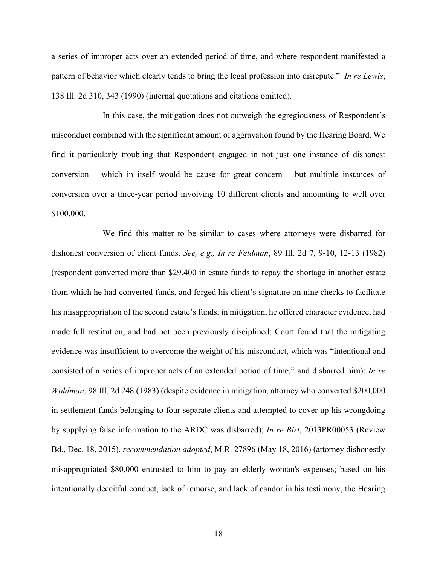a series of improper acts over an extended period of time, and where respondent manifested a pattern of behavior which clearly tends to bring the legal profession into disrepute." *In re Lewis*, 138 Ill. 2d 310, 343 (1990) (internal quotations and citations omitted).

In this case, the mitigation does not outweigh the egregiousness of Respondent's misconduct combined with the significant amount of aggravation found by the Hearing Board. We find it particularly troubling that Respondent engaged in not just one instance of dishonest conversion – which in itself would be cause for great concern – but multiple instances of conversion over a three-year period involving 10 different clients and amounting to well over \$100,000.

We find this matter to be similar to cases where attorneys were disbarred for dishonest conversion of client funds. *See, e.g., In re Feldman*, 89 Ill. 2d 7, 9-10, 12-13 (1982) (respondent converted more than \$29,400 in estate funds to repay the shortage in another estate from which he had converted funds, and forged his client's signature on nine checks to facilitate his misappropriation of the second estate's funds; in mitigation, he offered character evidence, had made full restitution, and had not been previously disciplined; Court found that the mitigating evidence was insufficient to overcome the weight of his misconduct, which was "intentional and consisted of a series of improper acts of an extended period of time," and disbarred him); *In re Woldman*, 98 Ill. 2d 248 (1983) (despite evidence in mitigation, attorney who converted \$200,000 in settlement funds belonging to four separate clients and attempted to cover up his wrongdoing by supplying false information to the ARDC was disbarred); *In re Birt*, 2013PR00053 (Review Bd., Dec. 18, 2015), *recommendation adopted*, M.R. 27896 (May 18, 2016) (attorney dishonestly misappropriated \$80,000 entrusted to him to pay an elderly woman's expenses; based on his intentionally deceitful conduct, lack of remorse, and lack of candor in his testimony, the Hearing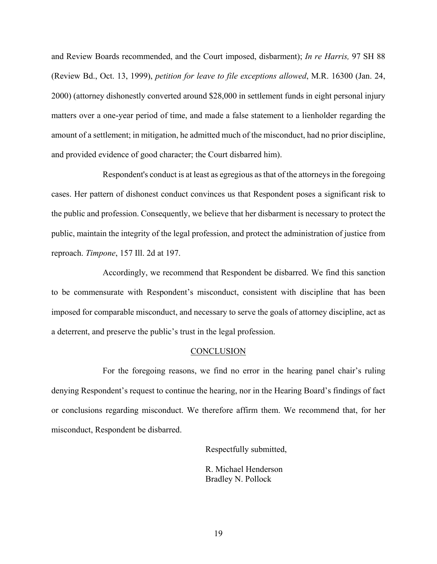and Review Boards recommended, and the Court imposed, disbarment); *In re Harris,* 97 SH 88 (Review Bd., Oct. 13, 1999), *petition for leave to file exceptions allowed*, M.R. 16300 (Jan. 24, 2000) (attorney dishonestly converted around \$28,000 in settlement funds in eight personal injury matters over a one-year period of time, and made a false statement to a lienholder regarding the amount of a settlement; in mitigation, he admitted much of the misconduct, had no prior discipline, and provided evidence of good character; the Court disbarred him).

Respondent's conduct is at least as egregious as that of the attorneys in the foregoing cases. Her pattern of dishonest conduct convinces us that Respondent poses a significant risk to the public and profession. Consequently, we believe that her disbarment is necessary to protect the public, maintain the integrity of the legal profession, and protect the administration of justice from reproach. *Timpone*, 157 Ill. 2d at 197.

Accordingly, we recommend that Respondent be disbarred. We find this sanction to be commensurate with Respondent's misconduct, consistent with discipline that has been imposed for comparable misconduct, and necessary to serve the goals of attorney discipline, act as a deterrent, and preserve the public's trust in the legal profession.

#### **CONCLUSION**

For the foregoing reasons, we find no error in the hearing panel chair's ruling denying Respondent's request to continue the hearing, nor in the Hearing Board's findings of fact or conclusions regarding misconduct. We therefore affirm them. We recommend that, for her misconduct, Respondent be disbarred.

Respectfully submitted,

R. Michael Henderson Bradley N. Pollock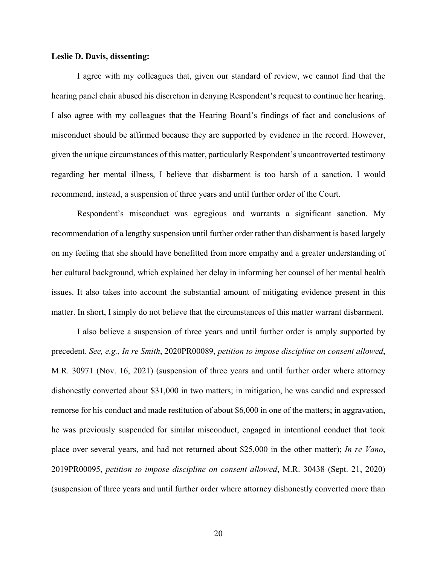#### **Leslie D. Davis, dissenting:**

I agree with my colleagues that, given our standard of review, we cannot find that the hearing panel chair abused his discretion in denying Respondent's request to continue her hearing. I also agree with my colleagues that the Hearing Board's findings of fact and conclusions of misconduct should be affirmed because they are supported by evidence in the record. However, given the unique circumstances of this matter, particularly Respondent's uncontroverted testimony regarding her mental illness, I believe that disbarment is too harsh of a sanction. I would recommend, instead, a suspension of three years and until further order of the Court.

Respondent's misconduct was egregious and warrants a significant sanction. My recommendation of a lengthy suspension until further order rather than disbarment is based largely on my feeling that she should have benefitted from more empathy and a greater understanding of her cultural background, which explained her delay in informing her counsel of her mental health issues. It also takes into account the substantial amount of mitigating evidence present in this matter. In short, I simply do not believe that the circumstances of this matter warrant disbarment.

I also believe a suspension of three years and until further order is amply supported by precedent. *See, e.g., In re Smith*, 2020PR00089, *petition to impose discipline on consent allowed*, M.R. 30971 (Nov. 16, 2021) (suspension of three years and until further order where attorney dishonestly converted about \$31,000 in two matters; in mitigation, he was candid and expressed remorse for his conduct and made restitution of about \$6,000 in one of the matters; in aggravation, he was previously suspended for similar misconduct, engaged in intentional conduct that took place over several years, and had not returned about \$25,000 in the other matter); *In re Vano*, 2019PR00095, *petition to impose discipline on consent allowed*, M.R. 30438 (Sept. 21, 2020) (suspension of three years and until further order where attorney dishonestly converted more than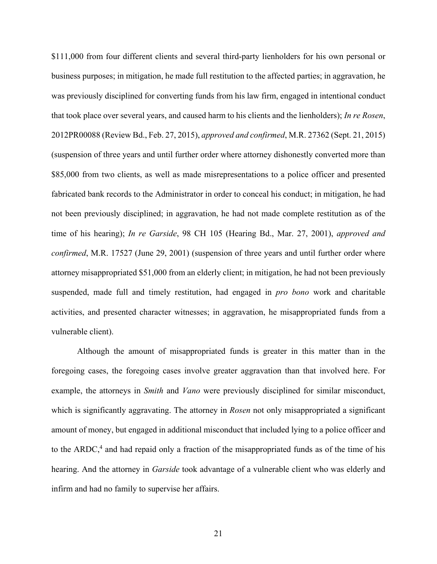\$111,000 from four different clients and several third-party lienholders for his own personal or business purposes; in mitigation, he made full restitution to the affected parties; in aggravation, he was previously disciplined for converting funds from his law firm, engaged in intentional conduct that took place over several years, and caused harm to his clients and the lienholders); *In re Rosen*, 2012PR00088 (Review Bd., Feb. 27, 2015), *approved and confirmed*, M.R. 27362 (Sept. 21, 2015) (suspension of three years and until further order where attorney dishonestly converted more than \$85,000 from two clients, as well as made misrepresentations to a police officer and presented fabricated bank records to the Administrator in order to conceal his conduct; in mitigation, he had not been previously disciplined; in aggravation, he had not made complete restitution as of the time of his hearing); *In re Garside*, 98 CH 105 (Hearing Bd., Mar. 27, 2001), *approved and confirmed*, M.R. 17527 (June 29, 2001) (suspension of three years and until further order where attorney misappropriated \$51,000 from an elderly client; in mitigation, he had not been previously suspended, made full and timely restitution, had engaged in *pro bono* work and charitable activities, and presented character witnesses; in aggravation, he misappropriated funds from a vulnerable client).

Although the amount of misappropriated funds is greater in this matter than in the foregoing cases, the foregoing cases involve greater aggravation than that involved here. For example, the attorneys in *Smith* and *Vano* were previously disciplined for similar misconduct, which is significantly aggravating. The attorney in *Rosen* not only misappropriated a significant amount of money, but engaged in additional misconduct that included lying to a police officer and to the  $ARDC<sub>1</sub><sup>4</sup>$  and had repaid only a fraction of the misappropriated funds as of the time of his hearing. And the attorney in *Garside* took advantage of a vulnerable client who was elderly and infirm and had no family to supervise her affairs.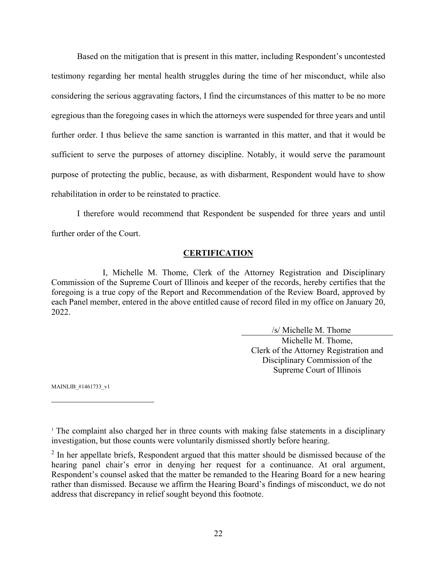Based on the mitigation that is present in this matter, including Respondent's uncontested testimony regarding her mental health struggles during the time of her misconduct, while also considering the serious aggravating factors, I find the circumstances of this matter to be no more egregious than the foregoing cases in which the attorneys were suspended for three years and until further order. I thus believe the same sanction is warranted in this matter, and that it would be sufficient to serve the purposes of attorney discipline. Notably, it would serve the paramount purpose of protecting the public, because, as with disbarment, Respondent would have to show rehabilitation in order to be reinstated to practice.

I therefore would recommend that Respondent be suspended for three years and until further order of the Court.

## **CERTIFICATION**

I, Michelle M. Thome, Clerk of the Attorney Registration and Disciplinary Commission of the Supreme Court of Illinois and keeper of the records, hereby certifies that the foregoing is a true copy of the Report and Recommendation of the Review Board, approved by each Panel member, entered in the above entitled cause of record filed in my office on January 20, 2022.

> /s/ Michelle M. Thome Michelle M. Thome, Clerk of the Attorney Registration and Disciplinary Commission of the Supreme Court of Illinois

MAINLIB\_#1461733\_v1

<u>.</u>

<sup>&</sup>lt;sup>1</sup> The complaint also charged her in three counts with making false statements in a disciplinary investigation, but those counts were voluntarily dismissed shortly before hearing.

 $2$  In her appellate briefs, Respondent argued that this matter should be dismissed because of the hearing panel chair's error in denying her request for a continuance. At oral argument, Respondent's counsel asked that the matter be remanded to the Hearing Board for a new hearing rather than dismissed. Because we affirm the Hearing Board's findings of misconduct, we do not address that discrepancy in relief sought beyond this footnote.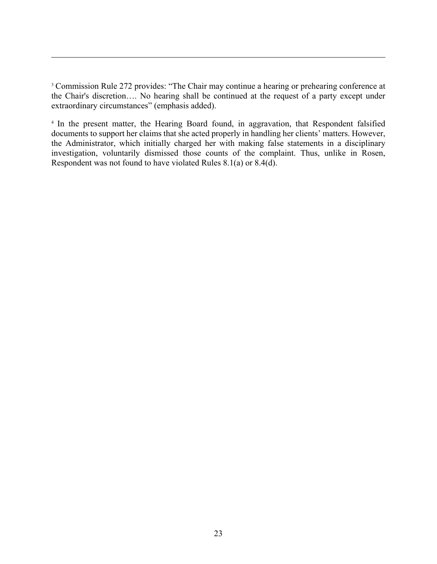<sup>3</sup> Commission Rule 272 provides: "The Chair may continue a hearing or prehearing conference at the Chair's discretion…. No hearing shall be continued at the request of a party except under extraordinary circumstances" (emphasis added).

 $\overline{a}$ 

<sup>4</sup> In the present matter, the Hearing Board found, in aggravation, that Respondent falsified documents to support her claims that she acted properly in handling her clients' matters. However, the Administrator, which initially charged her with making false statements in a disciplinary investigation, voluntarily dismissed those counts of the complaint. Thus, unlike in Rosen, Respondent was not found to have violated Rules 8.1(a) or 8.4(d).